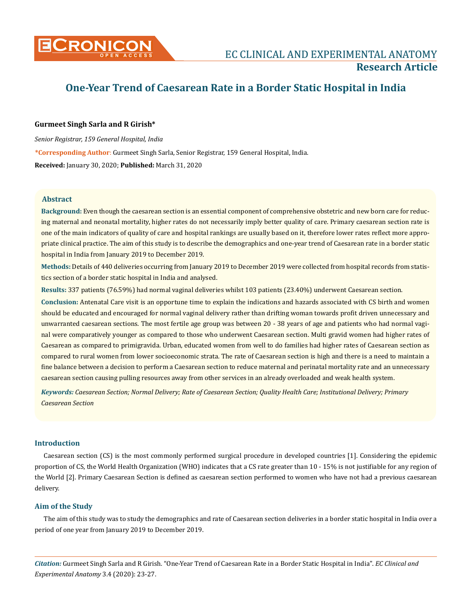

# **One-Year Trend of Caesarean Rate in a Border Static Hospital in India**

# **Gurmeet Singh Sarla and R Girish\***

*Senior Registrar, 159 General Hospital, India*

**\*Corresponding Author**: Gurmeet Singh Sarla, Senior Registrar, 159 General Hospital, India.

**Received:** January 30, 2020; **Published:** March 31, 2020

# **Abstract**

**Background:** Even though the caesarean section is an essential component of comprehensive obstetric and new born care for reducing maternal and neonatal mortality, higher rates do not necessarily imply better quality of care. Primary caesarean section rate is one of the main indicators of quality of care and hospital rankings are usually based on it, therefore lower rates reflect more appropriate clinical practice. The aim of this study is to describe the demographics and one-year trend of Caesarean rate in a border static hospital in India from January 2019 to December 2019.

**Methods:** Details of 440 deliveries occurring from January 2019 to December 2019 were collected from hospital records from statistics section of a border static hospital in India and analysed.

**Results:** 337 patients (76.59%) had normal vaginal deliveries whilst 103 patients (23.40%) underwent Caesarean section.

**Conclusion:** Antenatal Care visit is an opportune time to explain the indications and hazards associated with CS birth and women should be educated and encouraged for normal vaginal delivery rather than drifting woman towards profit driven unnecessary and unwarranted caesarean sections. The most fertile age group was between 20 - 38 years of age and patients who had normal vaginal were comparatively younger as compared to those who underwent Caesarean section. Multi gravid women had higher rates of Caesarean as compared to primigravida. Urban, educated women from well to do families had higher rates of Caesarean section as compared to rural women from lower socioeconomic strata. The rate of Caesarean section is high and there is a need to maintain a fine balance between a decision to perform a Caesarean section to reduce maternal and perinatal mortality rate and an unnecessary caesarean section causing pulling resources away from other services in an already overloaded and weak health system.

*Keywords: Caesarean Section; Normal Delivery; Rate of Caesarean Section; Quality Health Care; Institutional Delivery; Primary Caesarean Section*

# **Introduction**

Caesarean section (CS) is the most commonly performed surgical procedure in developed countries [1]. Considering the epidemic proportion of CS, the World Health Organization (WHO) indicates that a CS rate greater than 10 - 15% is not justifiable for any region of the World [2]. Primary Caesarean Section is defined as caesarean section performed to women who have not had a previous caesarean delivery.

# **Aim of the Study**

The aim of this study was to study the demographics and rate of Caesarean section deliveries in a border static hospital in India over a period of one year from January 2019 to December 2019.

*Citation:* Gurmeet Singh Sarla and R Girish*.* "One-Year Trend of Caesarean Rate in a Border Static Hospital in India". *EC Clinical and Experimental Anatomy* 3.4 (2020): 23-27.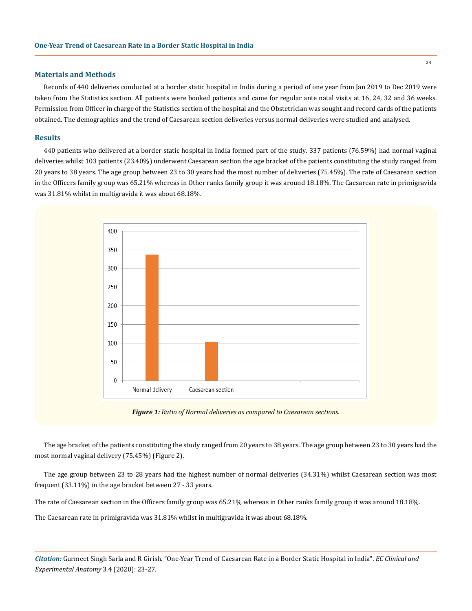# **Materials and Methods**

Records of 440 deliveries conducted at a border static hospital in India during a period of one year from Jan 2019 to Dec 2019 were taken from the Statistics section. All patients were booked patients and came for regular ante natal visits at 16, 24, 32 and 36 weeks. Permission from Officer in charge of the Statistics section of the hospital and the Obstetrician was sought and record cards of the patients obtained. The demographics and the trend of Caesarean section deliveries versus normal deliveries were studied and analysed.

#### **Results**

440 patients who delivered at a border static hospital in India formed part of the study. 337 patients (76.59%) had normal vaginal deliveries whilst 103 patients (23.40%) underwent Caesarean section the age bracket of the patients constituting the study ranged from 20 years to 38 years. The age group between 23 to 30 years had the most number of deliveries (75.45%). The rate of Caesarean section in the Officers family group was 65.21% whereas in Other ranks family group it was around 18.18%. The Caesarean rate in primigravida was 31.81% whilst in multigravida it was about 68.18%.



*Figure 1: Ratio of Normal deliveries as compared to Caesarean sections.*

The age bracket of the patients constituting the study ranged from 20 years to 38 years. The age group between 23 to 30 years had the most normal vaginal delivery (75.45%) (Figure 2).

The age group between 23 to 28 years had the highest number of normal deliveries (34.31%) whilst Caesarean section was most frequent (33.11%) in the age bracket between 27 - 33 years.

The rate of Caesarean section in the Officers family group was 65.21% whereas in Other ranks family group it was around 18.18%.

The Caesarean rate in primigravida was 31.81% whilst in multigravida it was about 68.18%.

*Citation:* Gurmeet Singh Sarla and R Girish*.* "One-Year Trend of Caesarean Rate in a Border Static Hospital in India". *EC Clinical and Experimental Anatomy* 3.4 (2020): 23-27.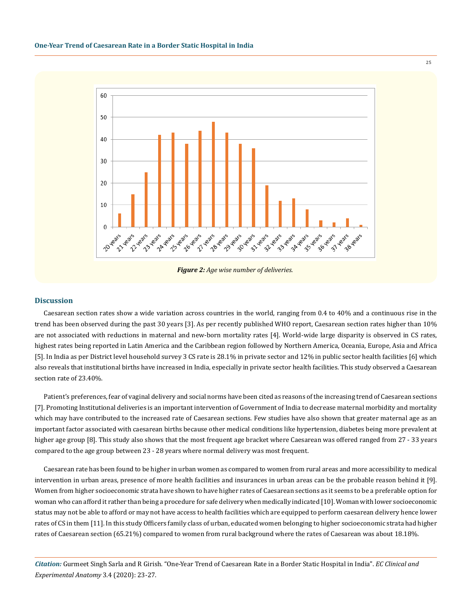

*Figure 2: Age wise number of deliveries.*

# **Discussion**

Caesarean section rates show a wide variation across countries in the world, ranging from 0.4 to 40% and a continuous rise in the trend has been observed during the past 30 years [3]. As per recently published WHO report, Caesarean section rates higher than 10% are not associated with reductions in maternal and new-born mortality rates [4]. World-wide large disparity is observed in CS rates, highest rates being reported in Latin America and the Caribbean region followed by Northern America, Oceania, Europe, Asia and Africa [5]. In India as per District level household survey 3 CS rate is 28.1% in private sector and 12% in public sector health facilities [6] which also reveals that institutional births have increased in India, especially in private sector health facilities. This study observed a Caesarean section rate of 23.40%.

Patient's preferences, fear of vaginal delivery and social norms have been cited as reasons of the increasing trend of Caesarean sections [7]. Promoting Institutional deliveries is an important intervention of Government of India to decrease maternal morbidity and mortality which may have contributed to the increased rate of Caesarean sections. Few studies have also shown that greater maternal age as an important factor associated with caesarean births because other medical conditions like hypertension, diabetes being more prevalent at higher age group [8]. This study also shows that the most frequent age bracket where Caesarean was offered ranged from 27 - 33 years compared to the age group between 23 - 28 years where normal delivery was most frequent.

Caesarean rate has been found to be higher in urban women as compared to women from rural areas and more accessibility to medical intervention in urban areas, presence of more health facilities and insurances in urban areas can be the probable reason behind it [9]. Women from higher socioeconomic strata have shown to have higher rates of Caesarean sections as it seems to be a preferable option for woman who can afford it rather than being a procedure for safe delivery when medically indicated [10]. Woman with lower socioeconomic status may not be able to afford or may not have access to health facilities which are equipped to perform caesarean delivery hence lower rates of CS in them [11]. In this study Officers family class of urban, educated women belonging to higher socioeconomic strata had higher rates of Caesarean section (65.21%) compared to women from rural background where the rates of Caesarean was about 18.18%.

*Citation:* Gurmeet Singh Sarla and R Girish*.* "One-Year Trend of Caesarean Rate in a Border Static Hospital in India". *EC Clinical and Experimental Anatomy* 3.4 (2020): 23-27.

25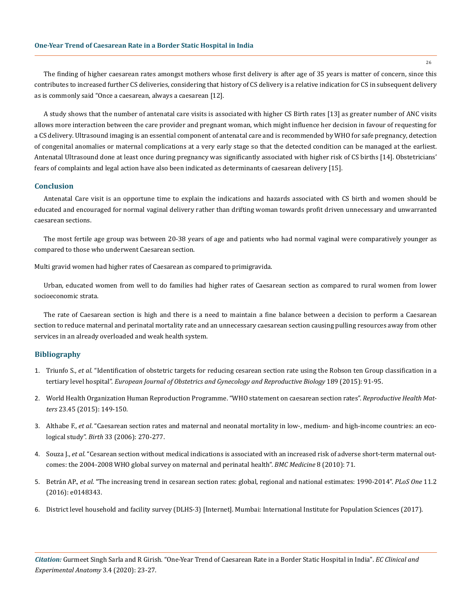The finding of higher caesarean rates amongst mothers whose first delivery is after age of 35 years is matter of concern, since this contributes to increased further CS deliveries, considering that history of CS delivery is a relative indication for CS in subsequent delivery as is commonly said "Once a caesarean, always a caesarean [12].

A study shows that the number of antenatal care visits is associated with higher CS Birth rates [13] as greater number of ANC visits allows more interaction between the care provider and pregnant woman, which might influence her decision in favour of requesting for a CS delivery. Ultrasound imaging is an essential component of antenatal care and is recommended by WHO for safe pregnancy, detection of congenital anomalies or maternal complications at a very early stage so that the detected condition can be managed at the earliest. Antenatal Ultrasound done at least once during pregnancy was significantly associated with higher risk of CS births [14]. Obstetricians' fears of complaints and legal action have also been indicated as determinants of caesarean delivery [15].

# **Conclusion**

Antenatal Care visit is an opportune time to explain the indications and hazards associated with CS birth and women should be educated and encouraged for normal vaginal delivery rather than drifting woman towards profit driven unnecessary and unwarranted caesarean sections.

The most fertile age group was between 20-38 years of age and patients who had normal vaginal were comparatively younger as compared to those who underwent Caesarean section.

Multi gravid women had higher rates of Caesarean as compared to primigravida.

Urban, educated women from well to do families had higher rates of Caesarean section as compared to rural women from lower socioeconomic strata.

The rate of Caesarean section is high and there is a need to maintain a fine balance between a decision to perform a Caesarean section to reduce maternal and perinatal mortality rate and an unnecessary caesarean section causing pulling resources away from other services in an already overloaded and weak health system.

#### **Bibliography**

- 1. Triunfo S., *et al*[. "Identification of obstetric targets for reducing cesarean section rate using the Robson ten Group classification in a](https://www.ncbi.nlm.nih.gov/pubmed/25898370)  tertiary level hospital". *[European Journal of Obstetrics and Gynecology and Reproductive Biology](https://www.ncbi.nlm.nih.gov/pubmed/25898370)* 189 (2015): 91-95.
- 2. [World Health Organization Human Reproduction Programme. "WHO statement on caesarean section rates".](https://www.ncbi.nlm.nih.gov/pubmed/26278843) *Reproductive Health Matters* [23.45 \(2015\): 149-150.](https://www.ncbi.nlm.nih.gov/pubmed/26278843)
- 3. Althabe F., *et al*[. "Caesarean section rates and maternal and neonatal mortality in low-, medium- and high-income countries: an eco](https://www.ncbi.nlm.nih.gov/pubmed/17150064)logical study". *Birth* [33 \(2006\): 270-277.](https://www.ncbi.nlm.nih.gov/pubmed/17150064)
- 4. Souza J., *et al*[. "Cesarean section without medical indications is associated with an increased risk of adverse short-term maternal out](https://www.ncbi.nlm.nih.gov/pubmed/21067593)[comes: the 2004-2008 WHO global survey on maternal and perinatal health".](https://www.ncbi.nlm.nih.gov/pubmed/21067593) *BMC Medicine* 8 (2010): 71.
- 5. Betrán AP., *et al*[. "The increasing trend in cesarean section rates: global, regional and national estimates: 1990-2014".](https://www.ncbi.nlm.nih.gov/pubmed/26849801) *PLoS One* 11.2 [\(2016\): e0148343.](https://www.ncbi.nlm.nih.gov/pubmed/26849801)
- 6. [District level household and facility survey \(DLHS-3\) \[Internet\]. Mumbai: International Institute for Population Sciences \(2017\).](http://rchiips.org/PRCH-3.html)